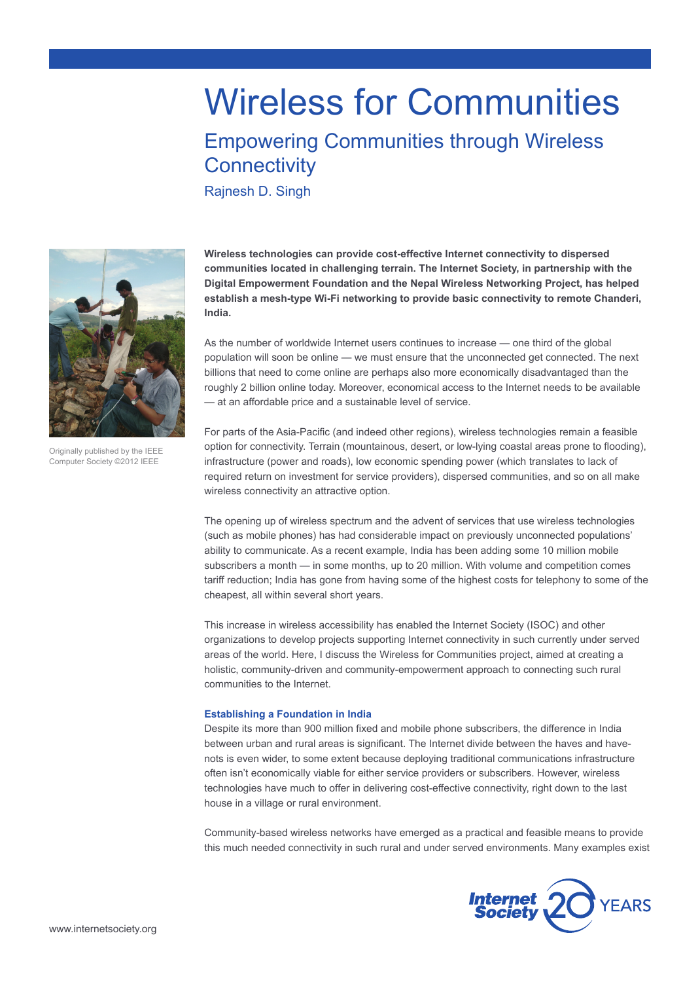# Wireless for Communities

# Empowering Communities through Wireless **Connectivity**

Rajnesh D. Singh



**Wireless technologies can provide cost-effective Internet connectivity to dispersed communities located in challenging terrain. The Internet Society, in partnership with the Digital Empowerment Foundation and the Nepal Wireless Networking Project, has helped establish a mesh-type Wi-Fi networking to provide basic connectivity to remote Chanderi, India.**

As the number of worldwide Internet users continues to increase — one third of the global population will soon be online — we must ensure that the unconnected get connected. The next billions that need to come online are perhaps also more economically disadvantaged than the roughly 2 billion online today. Moreover, economical access to the Internet needs to be available — at an affordable price and a sustainable level of service.

For parts of the Asia-Pacific (and indeed other regions), wireless technologies remain a feasible option for connectivity. Terrain (mountainous, desert, or low-lying coastal areas prone to flooding), infrastructure (power and roads), low economic spending power (which translates to lack of required return on investment for service providers), dispersed communities, and so on all make wireless connectivity an attractive option.

The opening up of wireless spectrum and the advent of services that use wireless technologies (such as mobile phones) has had considerable impact on previously unconnected populations' ability to communicate. As a recent example, India has been adding some 10 million mobile subscribers a month — in some months, up to 20 million. With volume and competition comes tariff reduction; India has gone from having some of the highest costs for telephony to some of the cheapest, all within several short years.

This increase in wireless accessibility has enabled the Internet Society (ISOC) and other organizations to develop projects supporting Internet connectivity in such currently under served areas of the world. Here, I discuss the Wireless for Communities project, aimed at creating a holistic, community-driven and community-empowerment approach to connecting such rural communities to the Internet.

## **Establishing a Foundation in India**

Despite its more than 900 million fixed and mobile phone subscribers, the difference in India between urban and rural areas is significant. The Internet divide between the haves and havenots is even wider, to some extent because deploying traditional communications infrastructure often isn't economically viable for either service providers or subscribers. However, wireless technologies have much to offer in delivering cost-effective connectivity, right down to the last house in a village or rural environment.

Community-based wireless networks have emerged as a practical and feasible means to provide this much needed connectivity in such rural and under served environments. Many examples exist



Originally published by the IEEE Computer Society ©2012 IEEE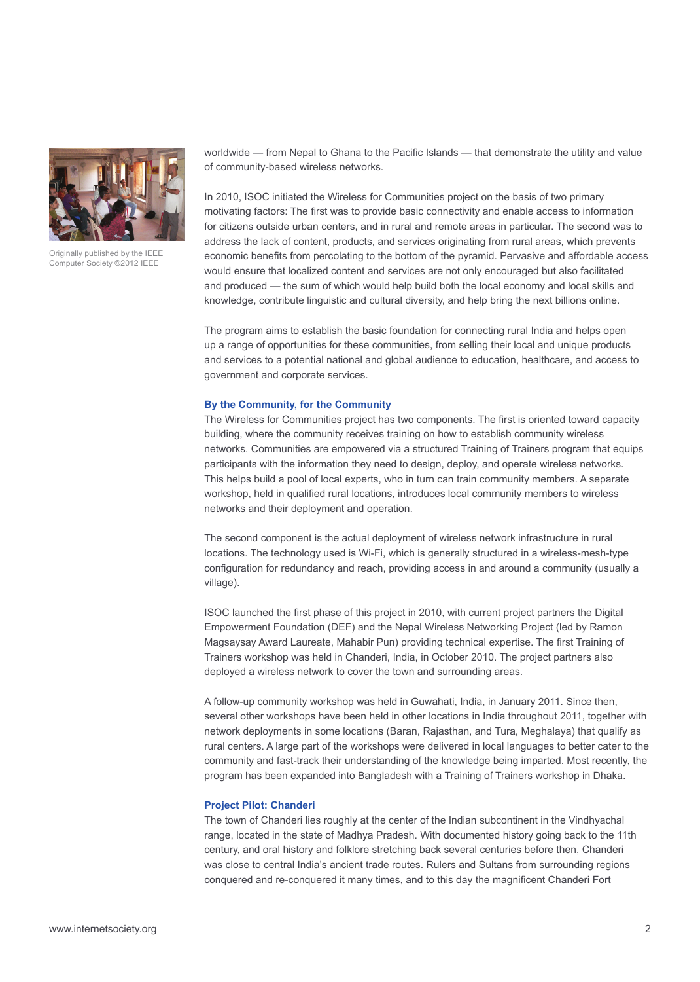

Originally published by the IEEE Computer Society ©2012 IEEE

worldwide — from Nepal to Ghana to the Pacific Islands — that demonstrate the utility and value of community-based wireless networks.

In 2010, ISOC initiated the Wireless for Communities project on the basis of two primary motivating factors: The first was to provide basic connectivity and enable access to information for citizens outside urban centers, and in rural and remote areas in particular. The second was to address the lack of content, products, and services originating from rural areas, which prevents economic benefits from percolating to the bottom of the pyramid. Pervasive and affordable access would ensure that localized content and services are not only encouraged but also facilitated and produced — the sum of which would help build both the local economy and local skills and knowledge, contribute linguistic and cultural diversity, and help bring the next billions online.

The program aims to establish the basic foundation for connecting rural India and helps open up a range of opportunities for these communities, from selling their local and unique products and services to a potential national and global audience to education, healthcare, and access to government and corporate services.

#### **By the Community, for the Community**

The Wireless for Communities project has two components. The first is oriented toward capacity building, where the community receives training on how to establish community wireless networks. Communities are empowered via a structured Training of Trainers program that equips participants with the information they need to design, deploy, and operate wireless networks. This helps build a pool of local experts, who in turn can train community members. A separate workshop, held in qualified rural locations, introduces local community members to wireless networks and their deployment and operation.

The second component is the actual deployment of wireless network infrastructure in rural locations. The technology used is Wi-Fi, which is generally structured in a wireless-mesh-type configuration for redundancy and reach, providing access in and around a community (usually a village).

ISOC launched the first phase of this project in 2010, with current project partners the Digital Empowerment Foundation (DEF) and the Nepal Wireless Networking Project (led by Ramon Magsaysay Award Laureate, Mahabir Pun) providing technical expertise. The first Training of Trainers workshop was held in Chanderi, India, in October 2010. The project partners also deployed a wireless network to cover the town and surrounding areas.

A follow-up community workshop was held in Guwahati, India, in January 2011. Since then, several other workshops have been held in other locations in India throughout 2011, together with network deployments in some locations (Baran, Rajasthan, and Tura, Meghalaya) that qualify as rural centers. A large part of the workshops were delivered in local languages to better cater to the community and fast-track their understanding of the knowledge being imparted. Most recently, the program has been expanded into Bangladesh with a Training of Trainers workshop in Dhaka.

### **Project Pilot: Chanderi**

The town of Chanderi lies roughly at the center of the Indian subcontinent in the Vindhyachal range, located in the state of Madhya Pradesh. With documented history going back to the 11th century, and oral history and folklore stretching back several centuries before then, Chanderi was close to central India's ancient trade routes. Rulers and Sultans from surrounding regions conquered and re-conquered it many times, and to this day the magnificent Chanderi Fort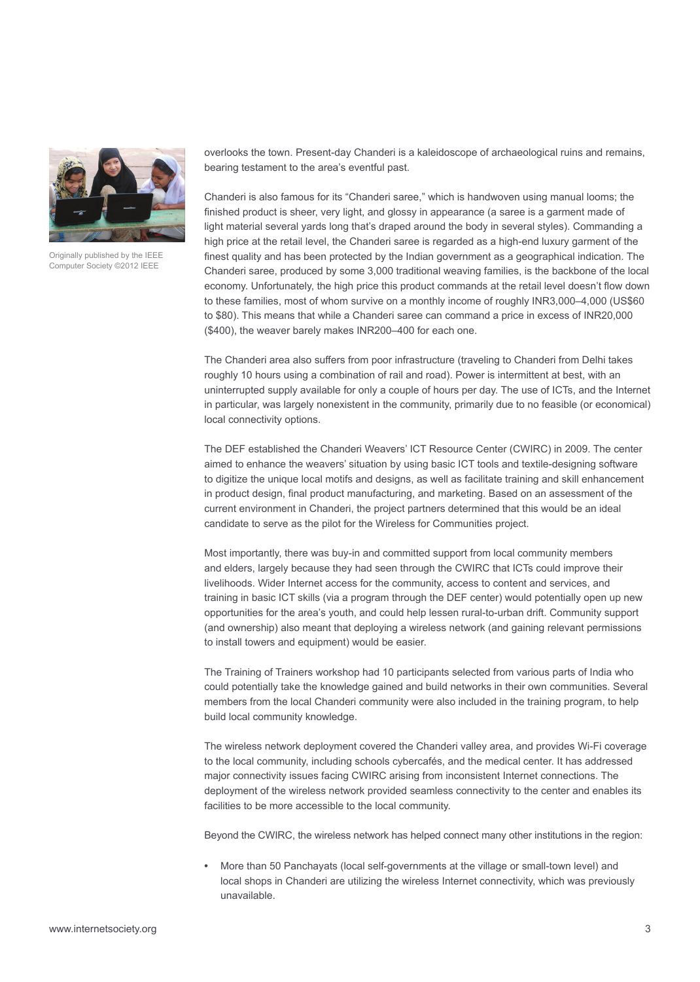

Originally published by the IEEE Computer Society ©2012 IEEE

overlooks the town. Present-day Chanderi is a kaleidoscope of archaeological ruins and remains, bearing testament to the area's eventful past.

Chanderi is also famous for its "Chanderi saree," which is handwoven using manual looms; the finished product is sheer, very light, and glossy in appearance (a saree is a garment made of light material several yards long that's draped around the body in several styles). Commanding a high price at the retail level, the Chanderi saree is regarded as a high-end luxury garment of the finest quality and has been protected by the Indian government as a geographical indication. The Chanderi saree, produced by some 3,000 traditional weaving families, is the backbone of the local economy. Unfortunately, the high price this product commands at the retail level doesn't flow down to these families, most of whom survive on a monthly income of roughly INR3,000–4,000 (US\$60 to \$80). This means that while a Chanderi saree can command a price in excess of INR20,000 (\$400), the weaver barely makes INR200–400 for each one.

The Chanderi area also suffers from poor infrastructure (traveling to Chanderi from Delhi takes roughly 10 hours using a combination of rail and road). Power is intermittent at best, with an uninterrupted supply available for only a couple of hours per day. The use of ICTs, and the Internet in particular, was largely nonexistent in the community, primarily due to no feasible (or economical) local connectivity options.

The DEF established the Chanderi Weavers' ICT Resource Center (CWIRC) in 2009. The center aimed to enhance the weavers' situation by using basic ICT tools and textile-designing software to digitize the unique local motifs and designs, as well as facilitate training and skill enhancement in product design, final product manufacturing, and marketing. Based on an assessment of the current environment in Chanderi, the project partners determined that this would be an ideal candidate to serve as the pilot for the Wireless for Communities project.

Most importantly, there was buy-in and committed support from local community members and elders, largely because they had seen through the CWIRC that ICTs could improve their livelihoods. Wider Internet access for the community, access to content and services, and training in basic ICT skills (via a program through the DEF center) would potentially open up new opportunities for the area's youth, and could help lessen rural-to-urban drift. Community support (and ownership) also meant that deploying a wireless network (and gaining relevant permissions to install towers and equipment) would be easier.

The Training of Trainers workshop had 10 participants selected from various parts of India who could potentially take the knowledge gained and build networks in their own communities. Several members from the local Chanderi community were also included in the training program, to help build local community knowledge.

The wireless network deployment covered the Chanderi valley area, and provides Wi-Fi coverage to the local community, including schools cybercafés, and the medical center. It has addressed major connectivity issues facing CWIRC arising from inconsistent Internet connections. The deployment of the wireless network provided seamless connectivity to the center and enables its facilities to be more accessible to the local community.

Beyond the CWIRC, the wireless network has helped connect many other institutions in the region:

More than 50 Panchayats (local self-governments at the village or small-town level) and local shops in Chanderi are utilizing the wireless Internet connectivity, which was previously unavailable.